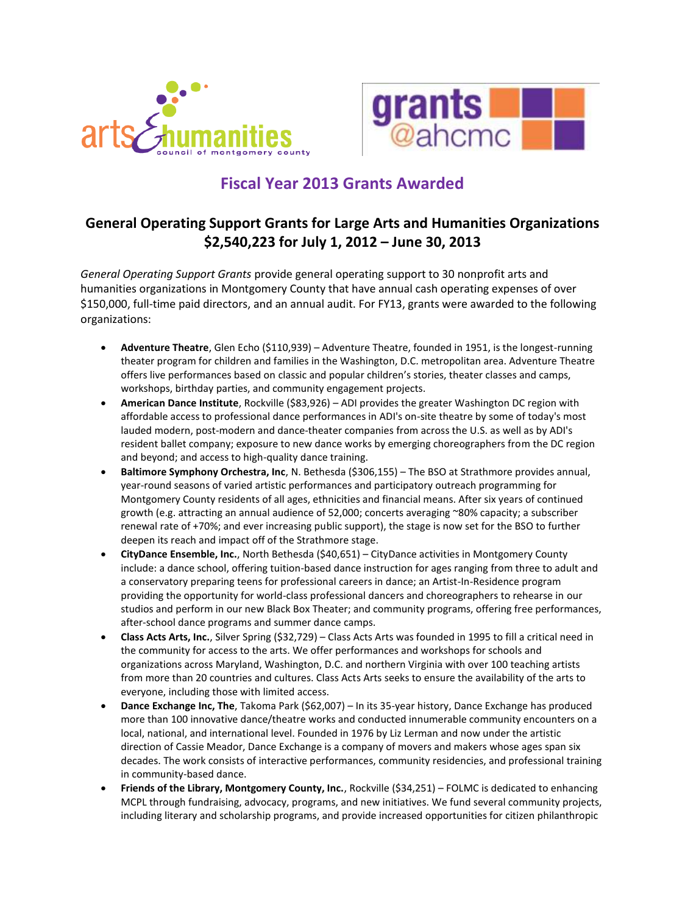



# **Fiscal Year 2013 Grants Awarded**

#### **General Operating Support Grants for Large Arts and Humanities Organizations \$2,540,223 for July 1, 2012 – June 30, 2013**

*General Operating Support Grants* provide general operating support to 30 nonprofit arts and humanities organizations in Montgomery County that have annual cash operating expenses of over \$150,000, full-time paid directors, and an annual audit. For FY13, grants were awarded to the following organizations:

- **Adventure Theatre**, Glen Echo (\$110,939) Adventure Theatre, founded in 1951, is the longest-running theater program for children and families in the Washington, D.C. metropolitan area. Adventure Theatre offers live performances based on classic and popular children's stories, theater classes and camps, workshops, birthday parties, and community engagement projects.
- **American Dance Institute**, Rockville (\$83,926) ADI provides the greater Washington DC region with affordable access to professional dance performances in ADI's on-site theatre by some of today's most lauded modern, post-modern and dance-theater companies from across the U.S. as well as by ADI's resident ballet company; exposure to new dance works by emerging choreographers from the DC region and beyond; and access to high-quality dance training.
- **Baltimore Symphony Orchestra, Inc**, N. Bethesda (\$306,155) The BSO at Strathmore provides annual, year-round seasons of varied artistic performances and participatory outreach programming for Montgomery County residents of all ages, ethnicities and financial means. After six years of continued growth (e.g. attracting an annual audience of 52,000; concerts averaging ~80% capacity; a subscriber renewal rate of +70%; and ever increasing public support), the stage is now set for the BSO to further deepen its reach and impact off of the Strathmore stage.
- **CityDance Ensemble, Inc.**, North Bethesda (\$40,651) CityDance activities in Montgomery County include: a dance school, offering tuition-based dance instruction for ages ranging from three to adult and a conservatory preparing teens for professional careers in dance; an Artist-In-Residence program providing the opportunity for world-class professional dancers and choreographers to rehearse in our studios and perform in our new Black Box Theater; and community programs, offering free performances, after-school dance programs and summer dance camps.
- **Class Acts Arts, Inc.**, Silver Spring (\$32,729) Class Acts Arts was founded in 1995 to fill a critical need in the community for access to the arts. We offer performances and workshops for schools and organizations across Maryland, Washington, D.C. and northern Virginia with over 100 teaching artists from more than 20 countries and cultures. Class Acts Arts seeks to ensure the availability of the arts to everyone, including those with limited access.
- **Dance Exchange Inc, The**, Takoma Park (\$62,007) In its 35-year history, Dance Exchange has produced more than 100 innovative dance/theatre works and conducted innumerable community encounters on a local, national, and international level. Founded in 1976 by Liz Lerman and now under the artistic direction of Cassie Meador, Dance Exchange is a company of movers and makers whose ages span six decades. The work consists of interactive performances, community residencies, and professional training in community-based dance.
- **Friends of the Library, Montgomery County, Inc.**, Rockville (\$34,251) FOLMC is dedicated to enhancing MCPL through fundraising, advocacy, programs, and new initiatives. We fund several community projects, including literary and scholarship programs, and provide increased opportunities for citizen philanthropic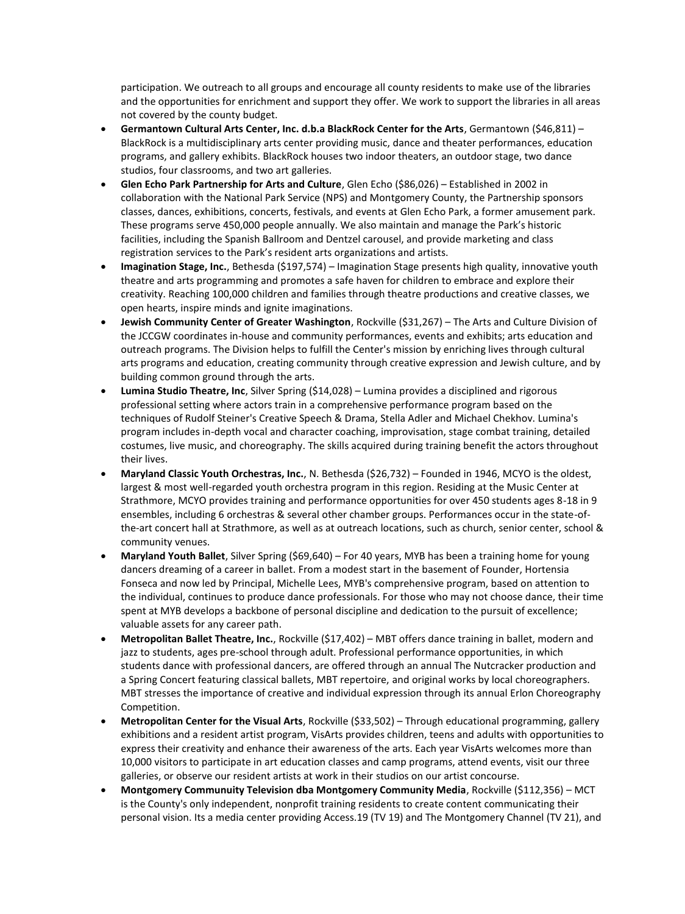participation. We outreach to all groups and encourage all county residents to make use of the libraries and the opportunities for enrichment and support they offer. We work to support the libraries in all areas not covered by the county budget.

- **Germantown Cultural Arts Center, Inc. d.b.a BlackRock Center for the Arts**, Germantown (\$46,811) BlackRock is a multidisciplinary arts center providing music, dance and theater performances, education programs, and gallery exhibits. BlackRock houses two indoor theaters, an outdoor stage, two dance studios, four classrooms, and two art galleries.
- **Glen Echo Park Partnership for Arts and Culture**, Glen Echo (\$86,026) Established in 2002 in collaboration with the National Park Service (NPS) and Montgomery County, the Partnership sponsors classes, dances, exhibitions, concerts, festivals, and events at Glen Echo Park, a former amusement park. These programs serve 450,000 people annually. We also maintain and manage the Park's historic facilities, including the Spanish Ballroom and Dentzel carousel, and provide marketing and class registration services to the Park's resident arts organizations and artists.
- **Imagination Stage, Inc.**, Bethesda (\$197,574) Imagination Stage presents high quality, innovative youth theatre and arts programming and promotes a safe haven for children to embrace and explore their creativity. Reaching 100,000 children and families through theatre productions and creative classes, we open hearts, inspire minds and ignite imaginations.
- **Jewish Community Center of Greater Washington**, Rockville (\$31,267) The Arts and Culture Division of the JCCGW coordinates in-house and community performances, events and exhibits; arts education and outreach programs. The Division helps to fulfill the Center's mission by enriching lives through cultural arts programs and education, creating community through creative expression and Jewish culture, and by building common ground through the arts.
- **Lumina Studio Theatre, Inc**, Silver Spring (\$14,028) Lumina provides a disciplined and rigorous professional setting where actors train in a comprehensive performance program based on the techniques of Rudolf Steiner's Creative Speech & Drama, Stella Adler and Michael Chekhov. Lumina's program includes in-depth vocal and character coaching, improvisation, stage combat training, detailed costumes, live music, and choreography. The skills acquired during training benefit the actors throughout their lives.
- **Maryland Classic Youth Orchestras, Inc.**, N. Bethesda (\$26,732) Founded in 1946, MCYO is the oldest, largest & most well-regarded youth orchestra program in this region. Residing at the Music Center at Strathmore, MCYO provides training and performance opportunities for over 450 students ages 8-18 in 9 ensembles, including 6 orchestras & several other chamber groups. Performances occur in the state-ofthe-art concert hall at Strathmore, as well as at outreach locations, such as church, senior center, school & community venues.
- **Maryland Youth Ballet**, Silver Spring (\$69,640) For 40 years, MYB has been a training home for young dancers dreaming of a career in ballet. From a modest start in the basement of Founder, Hortensia Fonseca and now led by Principal, Michelle Lees, MYB's comprehensive program, based on attention to the individual, continues to produce dance professionals. For those who may not choose dance, their time spent at MYB develops a backbone of personal discipline and dedication to the pursuit of excellence; valuable assets for any career path.
- **Metropolitan Ballet Theatre, Inc.**, Rockville (\$17,402) MBT offers dance training in ballet, modern and jazz to students, ages pre-school through adult. Professional performance opportunities, in which students dance with professional dancers, are offered through an annual The Nutcracker production and a Spring Concert featuring classical ballets, MBT repertoire, and original works by local choreographers. MBT stresses the importance of creative and individual expression through its annual Erlon Choreography Competition.
- **Metropolitan Center for the Visual Arts**, Rockville (\$33,502) Through educational programming, gallery exhibitions and a resident artist program, VisArts provides children, teens and adults with opportunities to express their creativity and enhance their awareness of the arts. Each year VisArts welcomes more than 10,000 visitors to participate in art education classes and camp programs, attend events, visit our three galleries, or observe our resident artists at work in their studios on our artist concourse.
- **Montgomery Communuity Television dba Montgomery Community Media**, Rockville (\$112,356) MCT is the County's only independent, nonprofit training residents to create content communicating their personal vision. Its a media center providing Access.19 (TV 19) and The Montgomery Channel (TV 21), and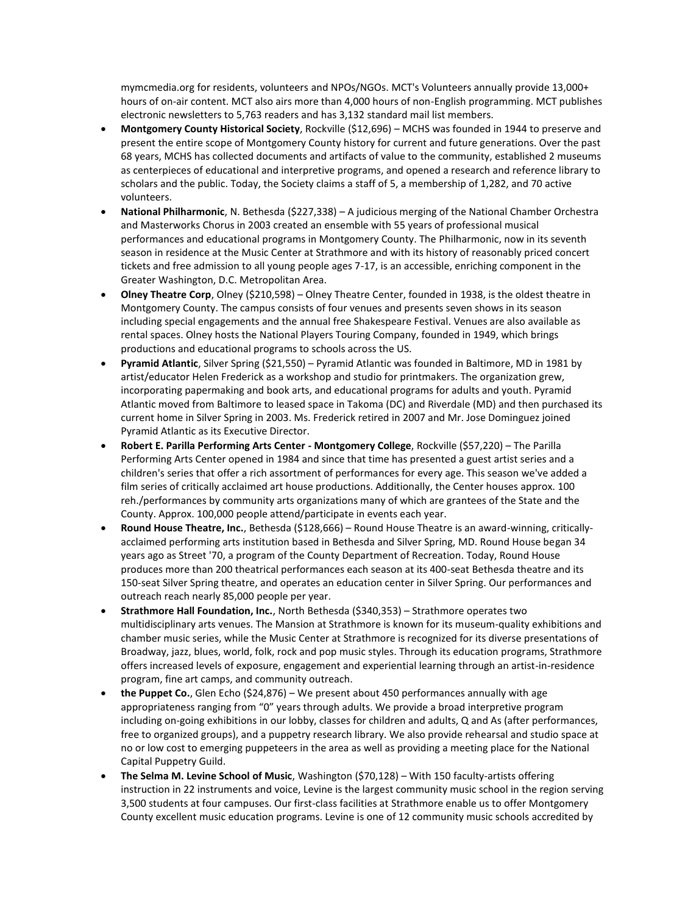mymcmedia.org for residents, volunteers and NPOs/NGOs. MCT's Volunteers annually provide 13,000+ hours of on-air content. MCT also airs more than 4,000 hours of non-English programming. MCT publishes electronic newsletters to 5,763 readers and has 3,132 standard mail list members.

- **Montgomery County Historical Society**, Rockville (\$12,696) MCHS was founded in 1944 to preserve and present the entire scope of Montgomery County history for current and future generations. Over the past 68 years, MCHS has collected documents and artifacts of value to the community, established 2 museums as centerpieces of educational and interpretive programs, and opened a research and reference library to scholars and the public. Today, the Society claims a staff of 5, a membership of 1,282, and 70 active volunteers.
- **National Philharmonic**, N. Bethesda (\$227,338) A judicious merging of the National Chamber Orchestra and Masterworks Chorus in 2003 created an ensemble with 55 years of professional musical performances and educational programs in Montgomery County. The Philharmonic, now in its seventh season in residence at the Music Center at Strathmore and with its history of reasonably priced concert tickets and free admission to all young people ages 7-17, is an accessible, enriching component in the Greater Washington, D.C. Metropolitan Area.
- **Olney Theatre Corp**, Olney (\$210,598) Olney Theatre Center, founded in 1938, is the oldest theatre in Montgomery County. The campus consists of four venues and presents seven shows in its season including special engagements and the annual free Shakespeare Festival. Venues are also available as rental spaces. Olney hosts the National Players Touring Company, founded in 1949, which brings productions and educational programs to schools across the US.
- **Pyramid Atlantic**, Silver Spring (\$21,550) Pyramid Atlantic was founded in Baltimore, MD in 1981 by artist/educator Helen Frederick as a workshop and studio for printmakers. The organization grew, incorporating papermaking and book arts, and educational programs for adults and youth. Pyramid Atlantic moved from Baltimore to leased space in Takoma (DC) and Riverdale (MD) and then purchased its current home in Silver Spring in 2003. Ms. Frederick retired in 2007 and Mr. Jose Dominguez joined Pyramid Atlantic as its Executive Director.
- **Robert E. Parilla Performing Arts Center - Montgomery College**, Rockville (\$57,220) The Parilla Performing Arts Center opened in 1984 and since that time has presented a guest artist series and a children's series that offer a rich assortment of performances for every age. This season we've added a film series of critically acclaimed art house productions. Additionally, the Center houses approx. 100 reh./performances by community arts organizations many of which are grantees of the State and the County. Approx. 100,000 people attend/participate in events each year.
- **Round House Theatre, Inc.**, Bethesda (\$128,666) Round House Theatre is an award-winning, criticallyacclaimed performing arts institution based in Bethesda and Silver Spring, MD. Round House began 34 years ago as Street '70, a program of the County Department of Recreation. Today, Round House produces more than 200 theatrical performances each season at its 400-seat Bethesda theatre and its 150-seat Silver Spring theatre, and operates an education center in Silver Spring. Our performances and outreach reach nearly 85,000 people per year.
- **Strathmore Hall Foundation, Inc.**, North Bethesda (\$340,353) Strathmore operates two multidisciplinary arts venues. The Mansion at Strathmore is known for its museum-quality exhibitions and chamber music series, while the Music Center at Strathmore is recognized for its diverse presentations of Broadway, jazz, blues, world, folk, rock and pop music styles. Through its education programs, Strathmore offers increased levels of exposure, engagement and experiential learning through an artist-in-residence program, fine art camps, and community outreach.
- **the Puppet Co.**, Glen Echo (\$24,876) We present about 450 performances annually with age appropriateness ranging from "0" years through adults. We provide a broad interpretive program including on-going exhibitions in our lobby, classes for children and adults, Q and As (after performances, free to organized groups), and a puppetry research library. We also provide rehearsal and studio space at no or low cost to emerging puppeteers in the area as well as providing a meeting place for the National Capital Puppetry Guild.
- **The Selma M. Levine School of Music**, Washington (\$70,128) With 150 faculty-artists offering instruction in 22 instruments and voice, Levine is the largest community music school in the region serving 3,500 students at four campuses. Our first-class facilities at Strathmore enable us to offer Montgomery County excellent music education programs. Levine is one of 12 community music schools accredited by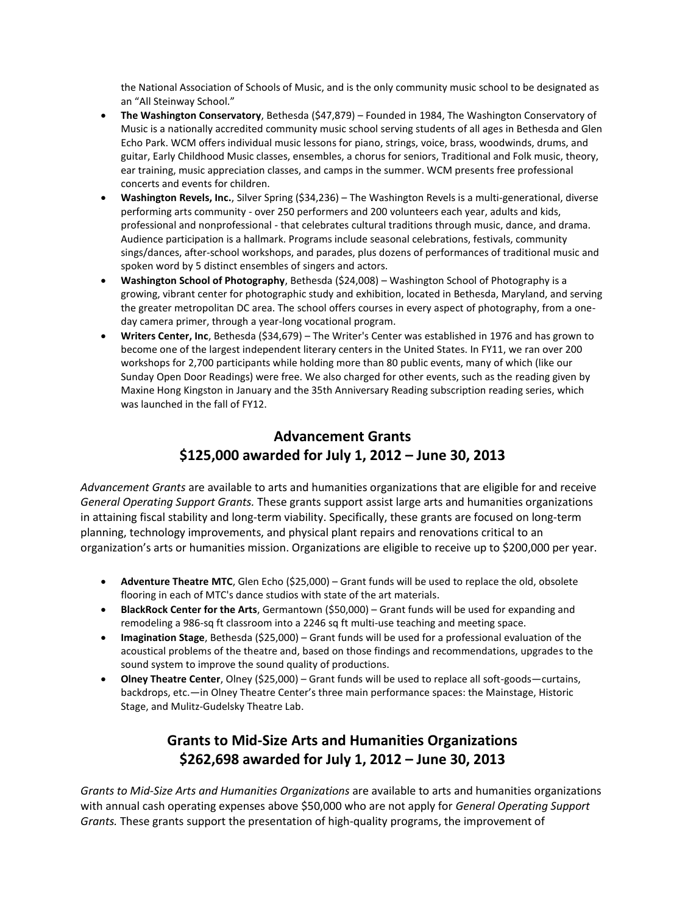the National Association of Schools of Music, and is the only community music school to be designated as an "All Steinway School."

- **The Washington Conservatory**, Bethesda (\$47,879) Founded in 1984, The Washington Conservatory of Music is a nationally accredited community music school serving students of all ages in Bethesda and Glen Echo Park. WCM offers individual music lessons for piano, strings, voice, brass, woodwinds, drums, and guitar, Early Childhood Music classes, ensembles, a chorus for seniors, Traditional and Folk music, theory, ear training, music appreciation classes, and camps in the summer. WCM presents free professional concerts and events for children.
- **Washington Revels, Inc.**, Silver Spring (\$34,236) The Washington Revels is a multi-generational, diverse performing arts community - over 250 performers and 200 volunteers each year, adults and kids, professional and nonprofessional - that celebrates cultural traditions through music, dance, and drama. Audience participation is a hallmark. Programs include seasonal celebrations, festivals, community sings/dances, after-school workshops, and parades, plus dozens of performances of traditional music and spoken word by 5 distinct ensembles of singers and actors.
- **Washington School of Photography**, Bethesda (\$24,008) Washington School of Photography is a growing, vibrant center for photographic study and exhibition, located in Bethesda, Maryland, and serving the greater metropolitan DC area. The school offers courses in every aspect of photography, from a oneday camera primer, through a year-long vocational program.
- **Writers Center, Inc**, Bethesda (\$34,679) The Writer's Center was established in 1976 and has grown to become one of the largest independent literary centers in the United States. In FY11, we ran over 200 workshops for 2,700 participants while holding more than 80 public events, many of which (like our Sunday Open Door Readings) were free. We also charged for other events, such as the reading given by Maxine Hong Kingston in January and the 35th Anniversary Reading subscription reading series, which was launched in the fall of FY12.

## **Advancement Grants \$125,000 awarded for July 1, 2012 – June 30, 2013**

*Advancement Grants* are available to arts and humanities organizations that are eligible for and receive *General Operating Support Grants.* These grants support assist large arts and humanities organizations in attaining fiscal stability and long-term viability. Specifically, these grants are focused on long-term planning, technology improvements, and physical plant repairs and renovations critical to an organization's arts or humanities mission. Organizations are eligible to receive up to \$200,000 per year.

- **Adventure Theatre MTC**, Glen Echo (\$25,000) Grant funds will be used to replace the old, obsolete flooring in each of MTC's dance studios with state of the art materials.
- **BlackRock Center for the Arts**, Germantown (\$50,000) Grant funds will be used for expanding and remodeling a 986-sq ft classroom into a 2246 sq ft multi-use teaching and meeting space.
- **Imagination Stage**, Bethesda (\$25,000) Grant funds will be used for a professional evaluation of the acoustical problems of the theatre and, based on those findings and recommendations, upgrades to the sound system to improve the sound quality of productions.
- **Olney Theatre Center**, Olney (\$25,000) Grant funds will be used to replace all soft-goods—curtains, backdrops, etc.—in Olney Theatre Center's three main performance spaces: the Mainstage, Historic Stage, and Mulitz-Gudelsky Theatre Lab.

## **Grants to Mid-Size Arts and Humanities Organizations \$262,698 awarded for July 1, 2012 – June 30, 2013**

*Grants to Mid-Size Arts and Humanities Organizations* are available to arts and humanities organizations with annual cash operating expenses above \$50,000 who are not apply for *General Operating Support Grants.* These grants support the presentation of high-quality programs, the improvement of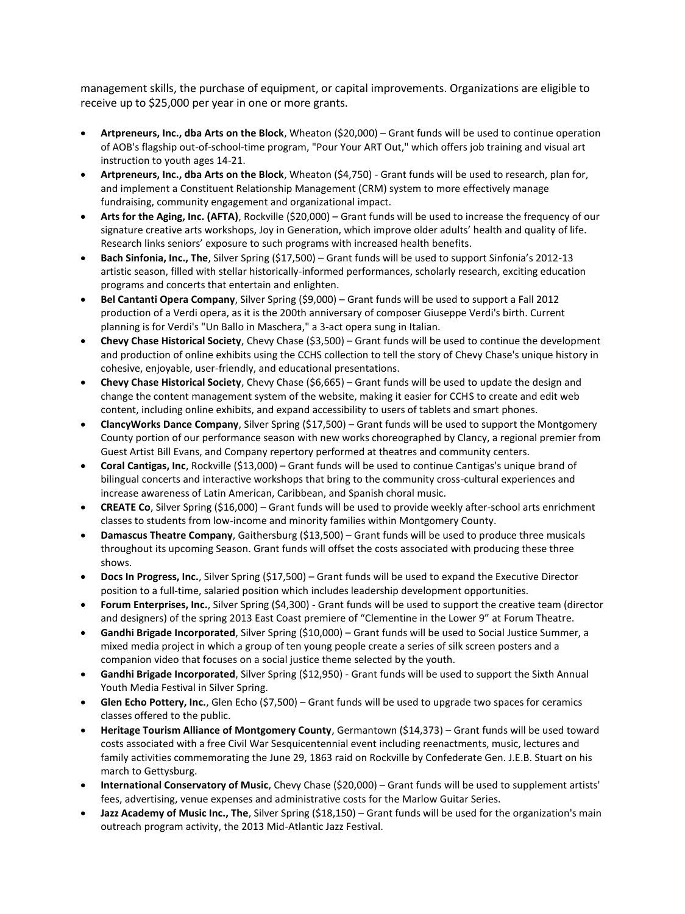management skills, the purchase of equipment, or capital improvements. Organizations are eligible to receive up to \$25,000 per year in one or more grants.

- **Artpreneurs, Inc., dba Arts on the Block**, Wheaton (\$20,000) Grant funds will be used to continue operation of AOB's flagship out-of-school-time program, "Pour Your ART Out," which offers job training and visual art instruction to youth ages 14-21.
- **Artpreneurs, Inc., dba Arts on the Block**, Wheaton (\$4,750) Grant funds will be used to research, plan for, and implement a Constituent Relationship Management (CRM) system to more effectively manage fundraising, community engagement and organizational impact.
- **Arts for the Aging, Inc. (AFTA)**, Rockville (\$20,000) Grant funds will be used to increase the frequency of our signature creative arts workshops, Joy in Generation, which improve older adults' health and quality of life. Research links seniors' exposure to such programs with increased health benefits.
- **Bach Sinfonia, Inc., The**, Silver Spring (\$17,500) Grant funds will be used to support Sinfonia's 2012-13 artistic season, filled with stellar historically-informed performances, scholarly research, exciting education programs and concerts that entertain and enlighten.
- **Bel Cantanti Opera Company**, Silver Spring (\$9,000) Grant funds will be used to support a Fall 2012 production of a Verdi opera, as it is the 200th anniversary of composer Giuseppe Verdi's birth. Current planning is for Verdi's "Un Ballo in Maschera," a 3-act opera sung in Italian.
- **Chevy Chase Historical Society**, Chevy Chase (\$3,500) Grant funds will be used to continue the development and production of online exhibits using the CCHS collection to tell the story of Chevy Chase's unique history in cohesive, enjoyable, user-friendly, and educational presentations.
- **Chevy Chase Historical Society**, Chevy Chase (\$6,665) Grant funds will be used to update the design and change the content management system of the website, making it easier for CCHS to create and edit web content, including online exhibits, and expand accessibility to users of tablets and smart phones.
- **ClancyWorks Dance Company**, Silver Spring (\$17,500) Grant funds will be used to support the Montgomery County portion of our performance season with new works choreographed by Clancy, a regional premier from Guest Artist Bill Evans, and Company repertory performed at theatres and community centers.
- **Coral Cantigas, Inc**, Rockville (\$13,000) Grant funds will be used to continue Cantigas's unique brand of bilingual concerts and interactive workshops that bring to the community cross-cultural experiences and increase awareness of Latin American, Caribbean, and Spanish choral music.
- **CREATE Co**, Silver Spring (\$16,000) Grant funds will be used to provide weekly after-school arts enrichment classes to students from low-income and minority families within Montgomery County.
- **Damascus Theatre Company**, Gaithersburg (\$13,500) Grant funds will be used to produce three musicals throughout its upcoming Season. Grant funds will offset the costs associated with producing these three shows.
- **Docs In Progress, Inc.**, Silver Spring (\$17,500) Grant funds will be used to expand the Executive Director position to a full-time, salaried position which includes leadership development opportunities.
- **Forum Enterprises, Inc.**, Silver Spring (\$4,300) Grant funds will be used to support the creative team (director and designers) of the spring 2013 East Coast premiere of "Clementine in the Lower 9" at Forum Theatre.
- **Gandhi Brigade Incorporated**, Silver Spring (\$10,000) Grant funds will be used to Social Justice Summer, a mixed media project in which a group of ten young people create a series of silk screen posters and a companion video that focuses on a social justice theme selected by the youth.
- **Gandhi Brigade Incorporated**, Silver Spring (\$12,950) Grant funds will be used to support the Sixth Annual Youth Media Festival in Silver Spring.
- **Glen Echo Pottery, Inc.**, Glen Echo (\$7,500) Grant funds will be used to upgrade two spaces for ceramics classes offered to the public.
- **Heritage Tourism Alliance of Montgomery County**, Germantown (\$14,373) Grant funds will be used toward costs associated with a free Civil War Sesquicentennial event including reenactments, music, lectures and family activities commemorating the June 29, 1863 raid on Rockville by Confederate Gen. J.E.B. Stuart on his march to Gettysburg.
- **International Conservatory of Music**, Chevy Chase (\$20,000) Grant funds will be used to supplement artists' fees, advertising, venue expenses and administrative costs for the Marlow Guitar Series.
- **Jazz Academy of Music Inc., The**, Silver Spring (\$18,150) Grant funds will be used for the organization's main outreach program activity, the 2013 Mid-Atlantic Jazz Festival.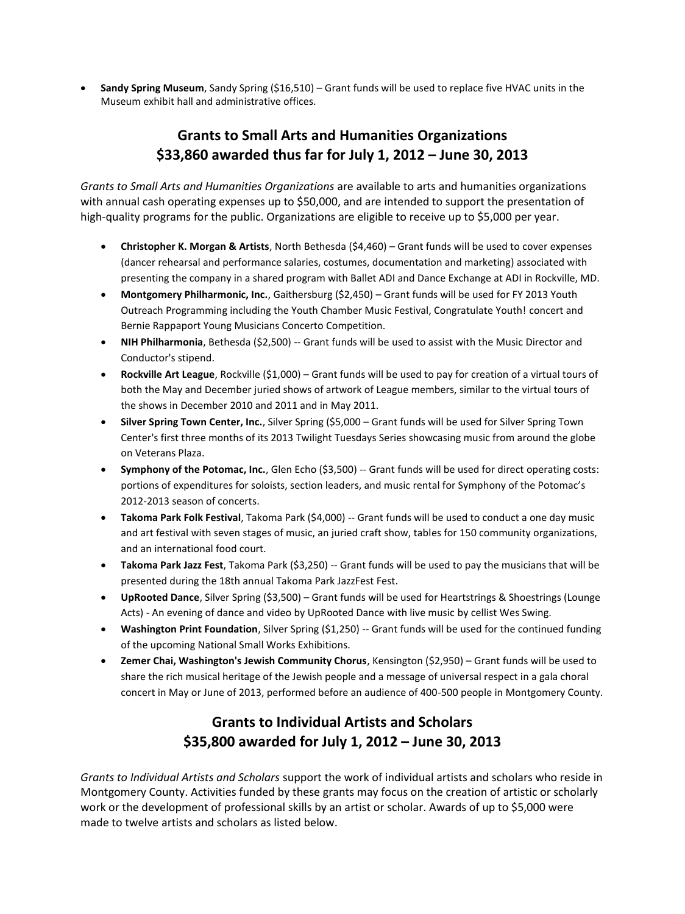**Sandy Spring Museum**, Sandy Spring (\$16,510) – Grant funds will be used to replace five HVAC units in the Museum exhibit hall and administrative offices.

## **Grants to Small Arts and Humanities Organizations \$33,860 awarded thus far for July 1, 2012 – June 30, 2013**

*Grants to Small Arts and Humanities Organizations* are available to arts and humanities organizations with annual cash operating expenses up to \$50,000, and are intended to support the presentation of high-quality programs for the public. Organizations are eligible to receive up to \$5,000 per year.

- **Christopher K. Morgan & Artists**, North Bethesda (\$4,460) Grant funds will be used to cover expenses (dancer rehearsal and performance salaries, costumes, documentation and marketing) associated with presenting the company in a shared program with Ballet ADI and Dance Exchange at ADI in Rockville, MD.
- **Montgomery Philharmonic, Inc.**, Gaithersburg (\$2,450) Grant funds will be used for FY 2013 Youth Outreach Programming including the Youth Chamber Music Festival, Congratulate Youth! concert and Bernie Rappaport Young Musicians Concerto Competition.
- **NIH Philharmonia**, Bethesda (\$2,500) -- Grant funds will be used to assist with the Music Director and Conductor's stipend.
- **Rockville Art League**, Rockville (\$1,000) Grant funds will be used to pay for creation of a virtual tours of both the May and December juried shows of artwork of League members, similar to the virtual tours of the shows in December 2010 and 2011 and in May 2011.
- **Silver Spring Town Center, Inc.**, Silver Spring (\$5,000 Grant funds will be used for Silver Spring Town Center's first three months of its 2013 Twilight Tuesdays Series showcasing music from around the globe on Veterans Plaza.
- **Symphony of the Potomac, Inc.**, Glen Echo (\$3,500) -- Grant funds will be used for direct operating costs: portions of expenditures for soloists, section leaders, and music rental for Symphony of the Potomac's 2012-2013 season of concerts.
- **Takoma Park Folk Festival**, Takoma Park (\$4,000) -- Grant funds will be used to conduct a one day music and art festival with seven stages of music, an juried craft show, tables for 150 community organizations, and an international food court.
- **Takoma Park Jazz Fest**, Takoma Park (\$3,250) -- Grant funds will be used to pay the musicians that will be presented during the 18th annual Takoma Park JazzFest Fest.
- **UpRooted Dance**, Silver Spring (\$3,500) Grant funds will be used for Heartstrings & Shoestrings (Lounge Acts) - An evening of dance and video by UpRooted Dance with live music by cellist Wes Swing.
- **Washington Print Foundation**, Silver Spring (\$1,250) -- Grant funds will be used for the continued funding of the upcoming National Small Works Exhibitions.
- **Zemer Chai, Washington's Jewish Community Chorus**, Kensington (\$2,950) Grant funds will be used to share the rich musical heritage of the Jewish people and a message of universal respect in a gala choral concert in May or June of 2013, performed before an audience of 400-500 people in Montgomery County.

## **Grants to Individual Artists and Scholars \$35,800 awarded for July 1, 2012 – June 30, 2013**

*Grants to Individual Artists and Scholars* support the work of individual artists and scholars who reside in Montgomery County. Activities funded by these grants may focus on the creation of artistic or scholarly work or the development of professional skills by an artist or scholar. Awards of up to \$5,000 were made to twelve artists and scholars as listed below.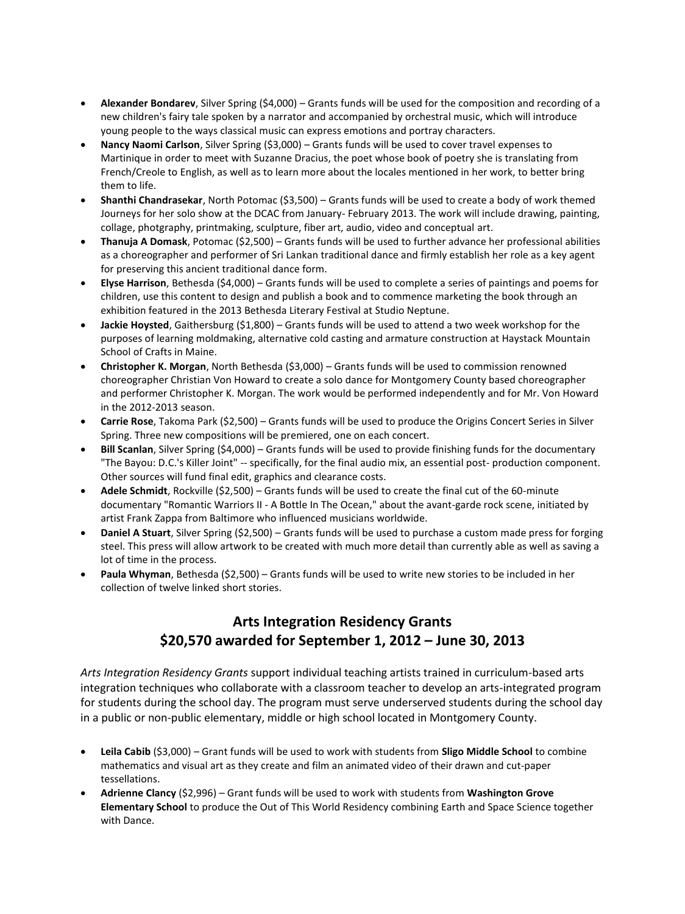- **Alexander Bondarev**, Silver Spring (\$4,000) Grants funds will be used for the composition and recording of a new children's fairy tale spoken by a narrator and accompanied by orchestral music, which will introduce young people to the ways classical music can express emotions and portray characters.
- **Nancy Naomi Carlson**, Silver Spring (\$3,000) Grants funds will be used to cover travel expenses to Martinique in order to meet with Suzanne Dracius, the poet whose book of poetry she is translating from French/Creole to English, as well as to learn more about the locales mentioned in her work, to better bring them to life.
- **Shanthi Chandrasekar**, North Potomac (\$3,500) Grants funds will be used to create a body of work themed Journeys for her solo show at the DCAC from January- February 2013. The work will include drawing, painting, collage, photgraphy, printmaking, sculpture, fiber art, audio, video and conceptual art.
- **Thanuja A Domask**, Potomac (\$2,500) Grants funds will be used to further advance her professional abilities as a choreographer and performer of Sri Lankan traditional dance and firmly establish her role as a key agent for preserving this ancient traditional dance form.
- **Elyse Harrison**, Bethesda (\$4,000) Grants funds will be used to complete a series of paintings and poems for children, use this content to design and publish a book and to commence marketing the book through an exhibition featured in the 2013 Bethesda Literary Festival at Studio Neptune.
- **Jackie Hoysted**, Gaithersburg (\$1,800) Grants funds will be used to attend a two week workshop for the purposes of learning moldmaking, alternative cold casting and armature construction at Haystack Mountain School of Crafts in Maine.
- **Christopher K. Morgan**, North Bethesda (\$3,000) Grants funds will be used to commission renowned choreographer Christian Von Howard to create a solo dance for Montgomery County based choreographer and performer Christopher K. Morgan. The work would be performed independently and for Mr. Von Howard in the 2012-2013 season.
- **Carrie Rose**, Takoma Park (\$2,500) Grants funds will be used to produce the Origins Concert Series in Silver Spring. Three new compositions will be premiered, one on each concert.
- **Bill Scanlan**, Silver Spring (\$4,000) Grants funds will be used to provide finishing funds for the documentary "The Bayou: D.C.'s Killer Joint" -- specifically, for the final audio mix, an essential post- production component. Other sources will fund final edit, graphics and clearance costs.
- **Adele Schmidt**, Rockville (\$2,500) Grants funds will be used to create the final cut of the 60-minute documentary "Romantic Warriors II - A Bottle In The Ocean," about the avant-garde rock scene, initiated by artist Frank Zappa from Baltimore who influenced musicians worldwide.
- **Daniel A Stuart**, Silver Spring (\$2,500) Grants funds will be used to purchase a custom made press for forging steel. This press will allow artwork to be created with much more detail than currently able as well as saving a lot of time in the process.
- **Paula Whyman**, Bethesda (\$2,500) Grants funds will be used to write new stories to be included in her collection of twelve linked short stories.

## **Arts Integration Residency Grants \$20,570 awarded for September 1, 2012 – June 30, 2013**

*Arts Integration Residency Grants* support individual teaching artists trained in curriculum-based arts integration techniques who collaborate with a classroom teacher to develop an arts-integrated program for students during the school day. The program must serve underserved students during the school day in a public or non-public elementary, middle or high school located in Montgomery County.

- **Leila Cabib** (\$3,000) Grant funds will be used to work with students from **Sligo Middle School** to combine mathematics and visual art as they create and film an animated video of their drawn and cut-paper tessellations.
- **Adrienne Clancy** (\$2,996) Grant funds will be used to work with students from **Washington Grove Elementary School** to produce the Out of This World Residency combining Earth and Space Science together with Dance.